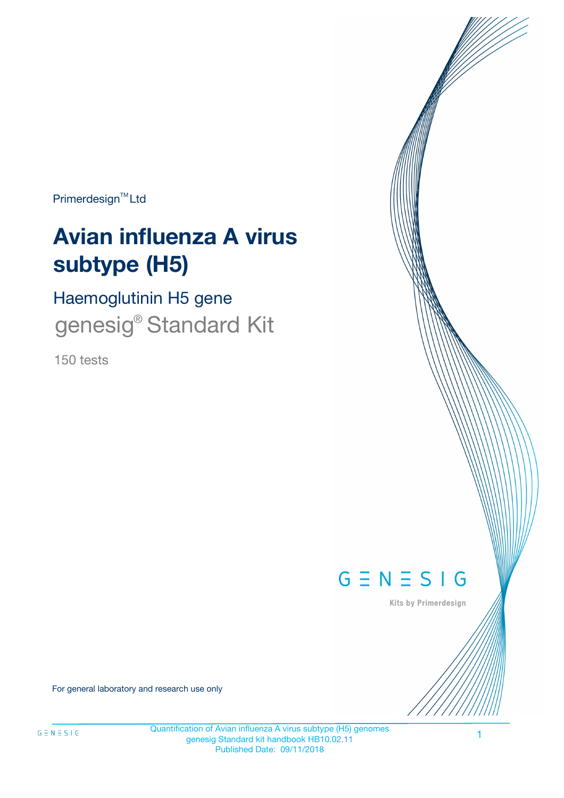Primerdesign<sup>™</sup>Ltd

# **Avian influenza A virus subtype (H5)**

Haemoglutinin H5 gene genesig<sup>®</sup> Standard Kit

150 tests



Kits by Primerdesign

For general laboratory and research use only

Quantification of Avian influenza A virus subtype (H5) genomes genesig Standard kit handbook HB10.02.11 Published Date: 09/11/2018

1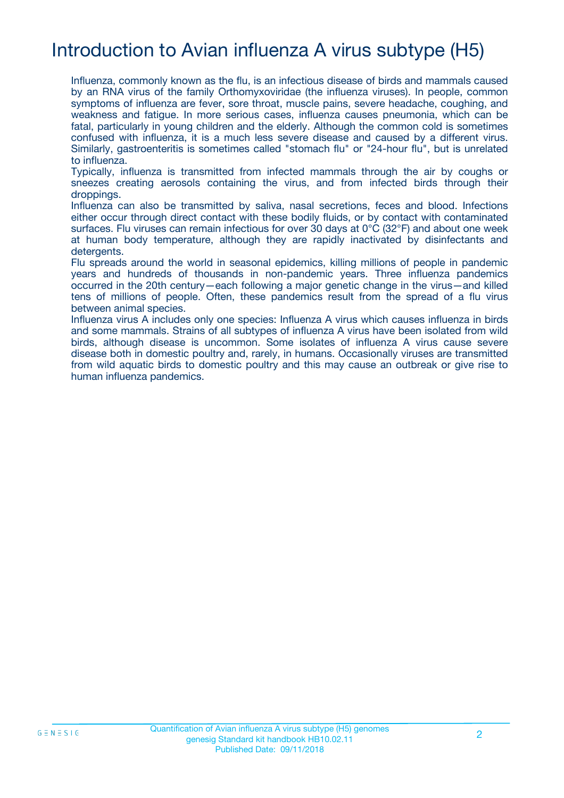# Introduction to Avian influenza A virus subtype (H5)

Influenza, commonly known as the flu, is an infectious disease of birds and mammals caused by an RNA virus of the family Orthomyxoviridae (the influenza viruses). In people, common symptoms of influenza are fever, sore throat, muscle pains, severe headache, coughing, and weakness and fatigue. In more serious cases, influenza causes pneumonia, which can be fatal, particularly in young children and the elderly. Although the common cold is sometimes confused with influenza, it is a much less severe disease and caused by a different virus. Similarly, gastroenteritis is sometimes called "stomach flu" or "24-hour flu", but is unrelated to influenza.

Typically, influenza is transmitted from infected mammals through the air by coughs or sneezes creating aerosols containing the virus, and from infected birds through their droppings.

Influenza can also be transmitted by saliva, nasal secretions, feces and blood. Infections either occur through direct contact with these bodily fluids, or by contact with contaminated surfaces. Flu viruses can remain infectious for over 30 days at 0°C (32°F) and about one week at human body temperature, although they are rapidly inactivated by disinfectants and detergents.

Flu spreads around the world in seasonal epidemics, killing millions of people in pandemic years and hundreds of thousands in non-pandemic years. Three influenza pandemics occurred in the 20th century—each following a major genetic change in the virus—and killed tens of millions of people. Often, these pandemics result from the spread of a flu virus between animal species.

Influenza virus A includes only one species: Influenza A virus which causes influenza in birds and some mammals. Strains of all subtypes of influenza A virus have been isolated from wild birds, although disease is uncommon. Some isolates of influenza A virus cause severe disease both in domestic poultry and, rarely, in humans. Occasionally viruses are transmitted from wild aquatic birds to domestic poultry and this may cause an outbreak or give rise to human influenza pandemics.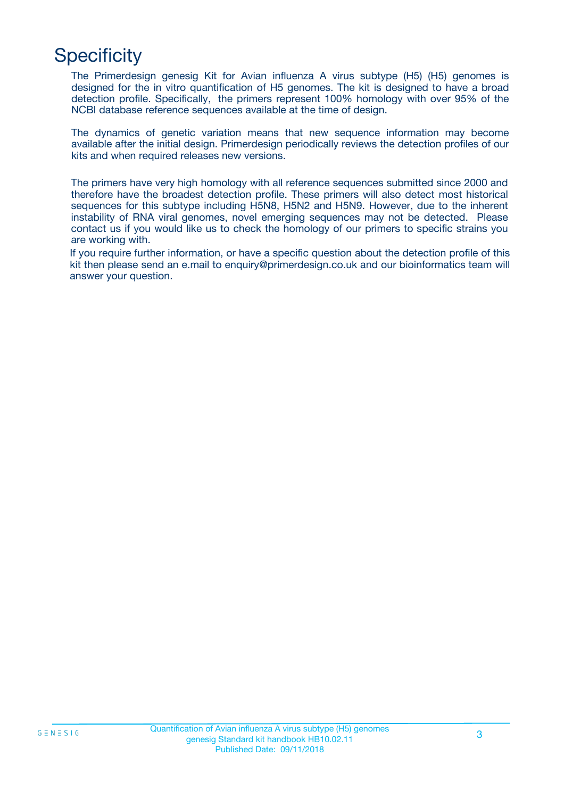# **Specificity**

The Primerdesign genesig Kit for Avian influenza A virus subtype (H5) (H5) genomes is designed for the in vitro quantification of H5 genomes. The kit is designed to have a broad detection profile. Specifically, the primers represent 100% homology with over 95% of the NCBI database reference sequences available at the time of design.

The dynamics of genetic variation means that new sequence information may become available after the initial design. Primerdesign periodically reviews the detection profiles of our kits and when required releases new versions.

The primers have very high homology with all reference sequences submitted since 2000 and therefore have the broadest detection profile. These primers will also detect most historical sequences for this subtype including H5N8, H5N2 and H5N9. However, due to the inherent instability of RNA viral genomes, novel emerging sequences may not be detected. Please contact us if you would like us to check the homology of our primers to specific strains you are working with.

If you require further information, or have a specific question about the detection profile of this kit then please send an e.mail to enquiry@primerdesign.co.uk and our bioinformatics team will answer your question.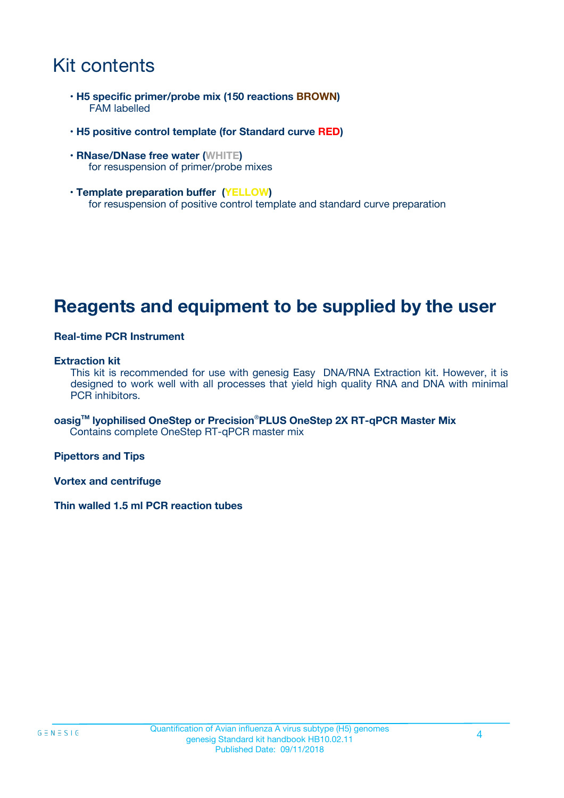# Kit contents

- **H5 specific primer/probe mix (150 reactions BROWN)** FAM labelled
- **H5 positive control template (for Standard curve RED)**
- **RNase/DNase free water (WHITE)** for resuspension of primer/probe mixes
- **Template preparation buffer (YELLOW)** for resuspension of positive control template and standard curve preparation

### **Reagents and equipment to be supplied by the user**

#### **Real-time PCR Instrument**

#### **Extraction kit**

This kit is recommended for use with genesig Easy DNA/RNA Extraction kit. However, it is designed to work well with all processes that yield high quality RNA and DNA with minimal PCR inhibitors.

**oasigTM lyophilised OneStep or Precision**®**PLUS OneStep 2X RT-qPCR Master Mix** Contains complete OneStep RT-qPCR master mix

**Pipettors and Tips**

**Vortex and centrifuge**

**Thin walled 1.5 ml PCR reaction tubes**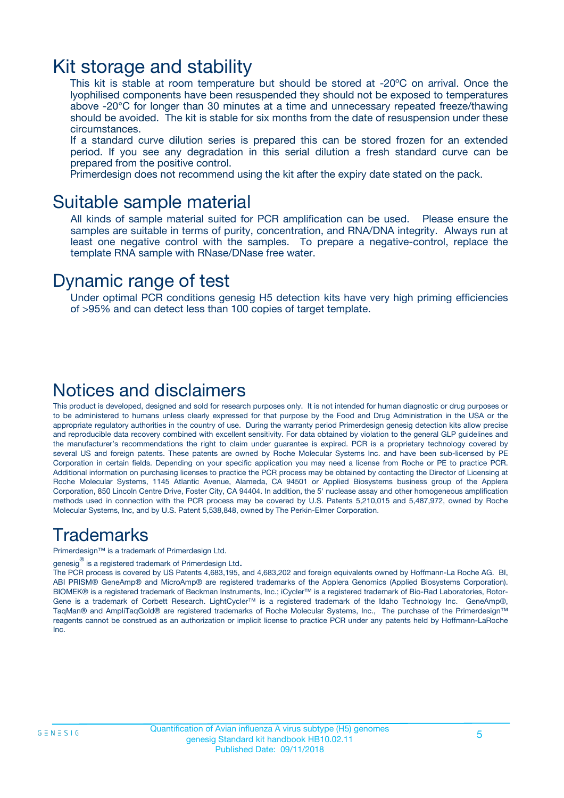### Kit storage and stability

This kit is stable at room temperature but should be stored at -20ºC on arrival. Once the lyophilised components have been resuspended they should not be exposed to temperatures above -20°C for longer than 30 minutes at a time and unnecessary repeated freeze/thawing should be avoided. The kit is stable for six months from the date of resuspension under these circumstances.

If a standard curve dilution series is prepared this can be stored frozen for an extended period. If you see any degradation in this serial dilution a fresh standard curve can be prepared from the positive control.

Primerdesign does not recommend using the kit after the expiry date stated on the pack.

### Suitable sample material

All kinds of sample material suited for PCR amplification can be used. Please ensure the samples are suitable in terms of purity, concentration, and RNA/DNA integrity. Always run at least one negative control with the samples. To prepare a negative-control, replace the template RNA sample with RNase/DNase free water.

### Dynamic range of test

Under optimal PCR conditions genesig H5 detection kits have very high priming efficiencies of >95% and can detect less than 100 copies of target template.

### Notices and disclaimers

This product is developed, designed and sold for research purposes only. It is not intended for human diagnostic or drug purposes or to be administered to humans unless clearly expressed for that purpose by the Food and Drug Administration in the USA or the appropriate regulatory authorities in the country of use. During the warranty period Primerdesign genesig detection kits allow precise and reproducible data recovery combined with excellent sensitivity. For data obtained by violation to the general GLP guidelines and the manufacturer's recommendations the right to claim under guarantee is expired. PCR is a proprietary technology covered by several US and foreign patents. These patents are owned by Roche Molecular Systems Inc. and have been sub-licensed by PE Corporation in certain fields. Depending on your specific application you may need a license from Roche or PE to practice PCR. Additional information on purchasing licenses to practice the PCR process may be obtained by contacting the Director of Licensing at Roche Molecular Systems, 1145 Atlantic Avenue, Alameda, CA 94501 or Applied Biosystems business group of the Applera Corporation, 850 Lincoln Centre Drive, Foster City, CA 94404. In addition, the 5' nuclease assay and other homogeneous amplification methods used in connection with the PCR process may be covered by U.S. Patents 5,210,015 and 5,487,972, owned by Roche Molecular Systems, Inc, and by U.S. Patent 5,538,848, owned by The Perkin-Elmer Corporation.

### Trademarks

Primerdesign™ is a trademark of Primerdesign Ltd.

genesig $^\circledR$  is a registered trademark of Primerdesign Ltd.

The PCR process is covered by US Patents 4,683,195, and 4,683,202 and foreign equivalents owned by Hoffmann-La Roche AG. BI, ABI PRISM® GeneAmp® and MicroAmp® are registered trademarks of the Applera Genomics (Applied Biosystems Corporation). BIOMEK® is a registered trademark of Beckman Instruments, Inc.; iCycler™ is a registered trademark of Bio-Rad Laboratories, Rotor-Gene is a trademark of Corbett Research. LightCycler™ is a registered trademark of the Idaho Technology Inc. GeneAmp®, TaqMan® and AmpliTaqGold® are registered trademarks of Roche Molecular Systems, Inc., The purchase of the Primerdesign™ reagents cannot be construed as an authorization or implicit license to practice PCR under any patents held by Hoffmann-LaRoche Inc.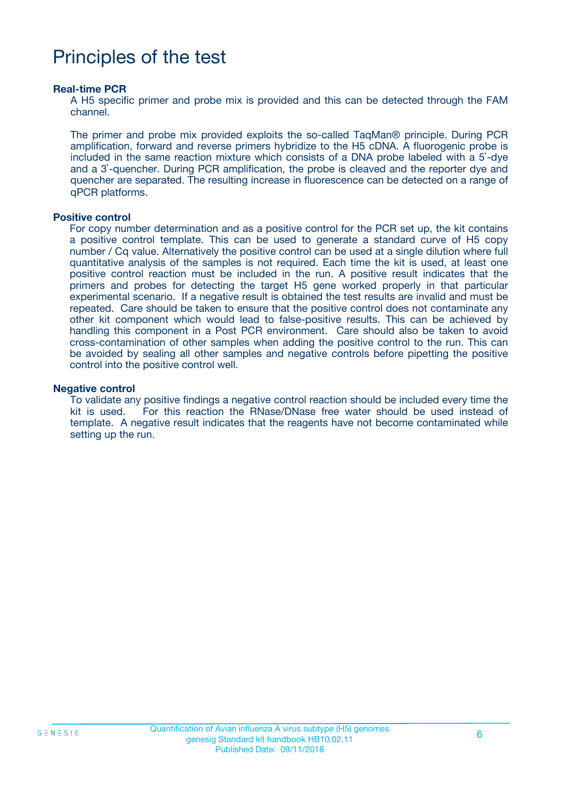# Principles of the test

#### **Real-time PCR**

A H5 specific primer and probe mix is provided and this can be detected through the FAM channel.

The primer and probe mix provided exploits the so-called TaqMan® principle. During PCR amplification, forward and reverse primers hybridize to the H5 cDNA. A fluorogenic probe is included in the same reaction mixture which consists of a DNA probe labeled with a 5`-dye and a 3`-quencher. During PCR amplification, the probe is cleaved and the reporter dye and quencher are separated. The resulting increase in fluorescence can be detected on a range of qPCR platforms.

#### **Positive control**

For copy number determination and as a positive control for the PCR set up, the kit contains a positive control template. This can be used to generate a standard curve of H5 copy number / Cq value. Alternatively the positive control can be used at a single dilution where full quantitative analysis of the samples is not required. Each time the kit is used, at least one positive control reaction must be included in the run. A positive result indicates that the primers and probes for detecting the target H5 gene worked properly in that particular experimental scenario. If a negative result is obtained the test results are invalid and must be repeated. Care should be taken to ensure that the positive control does not contaminate any other kit component which would lead to false-positive results. This can be achieved by handling this component in a Post PCR environment. Care should also be taken to avoid cross-contamination of other samples when adding the positive control to the run. This can be avoided by sealing all other samples and negative controls before pipetting the positive control into the positive control well.

#### **Negative control**

To validate any positive findings a negative control reaction should be included every time the kit is used. For this reaction the RNase/DNase free water should be used instead of template. A negative result indicates that the reagents have not become contaminated while setting up the run.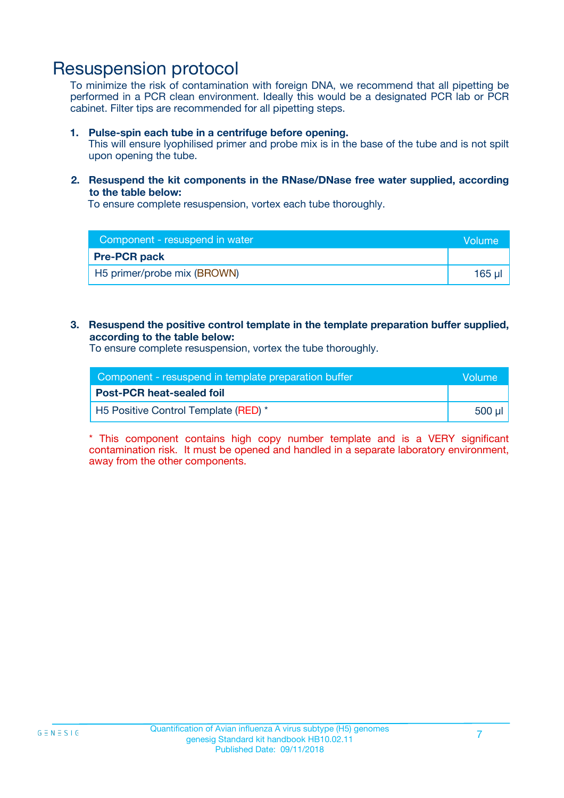### Resuspension protocol

To minimize the risk of contamination with foreign DNA, we recommend that all pipetting be performed in a PCR clean environment. Ideally this would be a designated PCR lab or PCR cabinet. Filter tips are recommended for all pipetting steps.

#### **1. Pulse-spin each tube in a centrifuge before opening.**

This will ensure lyophilised primer and probe mix is in the base of the tube and is not spilt upon opening the tube.

#### **2. Resuspend the kit components in the RNase/DNase free water supplied, according to the table below:**

To ensure complete resuspension, vortex each tube thoroughly.

| Component - resuspend in water | <b>Volume</b> |
|--------------------------------|---------------|
| <b>Pre-PCR pack</b>            |               |
| H5 primer/probe mix (BROWN)    | 165 ul        |

#### **3. Resuspend the positive control template in the template preparation buffer supplied, according to the table below:**

To ensure complete resuspension, vortex the tube thoroughly.

| Component - resuspend in template preparation buffer |         |
|------------------------------------------------------|---------|
| <b>Post-PCR heat-sealed foil</b>                     |         |
| H5 Positive Control Template (RED) *                 | .500 µl |

\* This component contains high copy number template and is a VERY significant contamination risk. It must be opened and handled in a separate laboratory environment, away from the other components.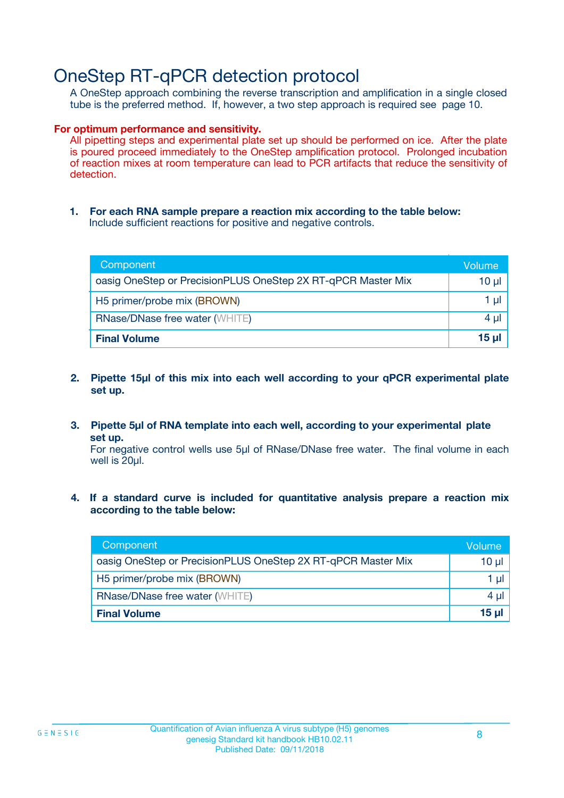# OneStep RT-qPCR detection protocol

A OneStep approach combining the reverse transcription and amplification in a single closed tube is the preferred method. If, however, a two step approach is required see page 10.

#### **For optimum performance and sensitivity.**

All pipetting steps and experimental plate set up should be performed on ice. After the plate is poured proceed immediately to the OneStep amplification protocol. Prolonged incubation of reaction mixes at room temperature can lead to PCR artifacts that reduce the sensitivity of detection.

**1. For each RNA sample prepare a reaction mix according to the table below:** Include sufficient reactions for positive and negative controls.

| Component                                                    | <b>Volume</b> |
|--------------------------------------------------------------|---------------|
| oasig OneStep or PrecisionPLUS OneStep 2X RT-qPCR Master Mix | 10 µl         |
| H5 primer/probe mix (BROWN)                                  | 1 µI          |
| <b>RNase/DNase free water (WHITE)</b>                        | 4 µl          |
| <b>Final Volume</b>                                          | <u>15 µl</u>  |

- **2. Pipette 15µl of this mix into each well according to your qPCR experimental plate set up.**
- **3. Pipette 5µl of RNA template into each well, according to your experimental plate set up.**

For negative control wells use 5µl of RNase/DNase free water. The final volume in each well is 20ul.

**4. If a standard curve is included for quantitative analysis prepare a reaction mix according to the table below:**

| Component                                                    | Volume   |
|--------------------------------------------------------------|----------|
| oasig OneStep or PrecisionPLUS OneStep 2X RT-qPCR Master Mix | 10 µl    |
| H5 primer/probe mix (BROWN)                                  | 1 ul     |
| <b>RNase/DNase free water (WHITE)</b>                        | $4 \mu$  |
| <b>Final Volume</b>                                          | $15 \mu$ |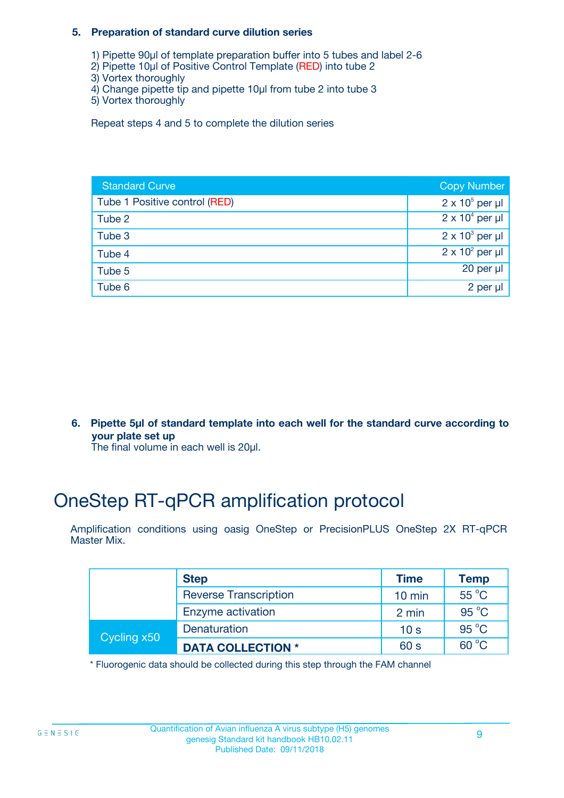#### **5. Preparation of standard curve dilution series**

- 1) Pipette 90µl of template preparation buffer into 5 tubes and label 2-6
- 2) Pipette 10µl of Positive Control Template (RED) into tube 2
- 3) Vortex thoroughly
- 4) Change pipette tip and pipette 10µl from tube 2 into tube 3
- 5) Vortex thoroughly

Repeat steps 4 and 5 to complete the dilution series

| <b>Standard Curve</b>         | <b>Copy Number</b>     |
|-------------------------------|------------------------|
| Tube 1 Positive control (RED) | $2 \times 10^5$ per µl |
| Tube 2                        | $2 \times 10^4$ per µl |
| Tube 3                        | $2 \times 10^3$ per µl |
| Tube 4                        | $2 \times 10^2$ per µl |
| Tube 5                        | 20 per $\mu$           |
| Tube 6                        | 2 per µl               |

**6. Pipette 5µl of standard template into each well for the standard curve according to your plate set up**

The final volume in each well is 20ul.

# OneStep RT-qPCR amplification protocol

Amplification conditions using oasig OneStep or PrecisionPLUS OneStep 2X RT-qPCR Master Mix.

|             | <b>Step</b>                  | <b>Time</b>      | <b>Temp</b>    |
|-------------|------------------------------|------------------|----------------|
|             | <b>Reverse Transcription</b> | $10 \text{ min}$ | 55 °C          |
|             | Enzyme activation            | 2 min            | $95^{\circ}$ C |
| Cycling x50 | Denaturation                 | 10 <sub>s</sub>  | $95^{\circ}$ C |
|             | <b>DATA COLLECTION *</b>     | 60 s             | $60^{\circ}$ C |

\* Fluorogenic data should be collected during this step through the FAM channel